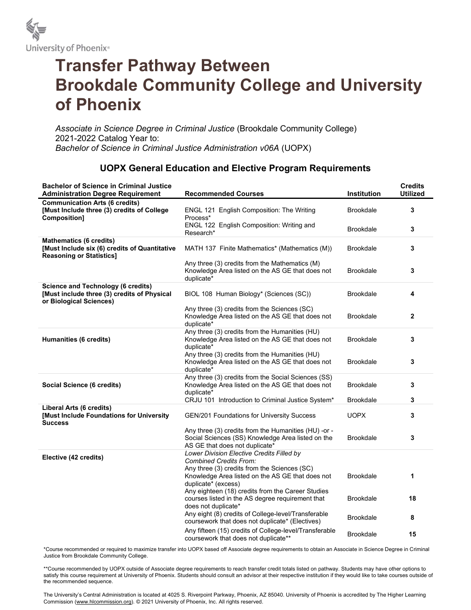

## Transfer Pathway Between Brookdale Community College and University of Phoenix

Associate in Science Degree in Criminal Justice (Brookdale Community College) 2021-2022 Catalog Year to: Bachelor of Science in Criminal Justice Administration v06A (UOPX)

## UOPX General Education and Elective Program Requirements

| <b>Bachelor of Science in Criminal Justice</b><br><b>Administration Degree Requirement</b>                          | <b>Recommended Courses</b>                                                                                                                  | Institution      | <b>Credits</b><br><b>Utilized</b> |
|---------------------------------------------------------------------------------------------------------------------|---------------------------------------------------------------------------------------------------------------------------------------------|------------------|-----------------------------------|
| <b>Communication Arts (6 credits)</b><br>[Must Include three (3) credits of College<br>Composition]                 | ENGL 121 English Composition: The Writing<br>Process*                                                                                       | <b>Brookdale</b> | 3                                 |
|                                                                                                                     | ENGL 122 English Composition: Writing and<br>Research*                                                                                      | <b>Brookdale</b> | 3                                 |
| <b>Mathematics (6 credits)</b><br>[Must Include six (6) credits of Quantitative<br><b>Reasoning or Statistics]</b>  | MATH 137 Finite Mathematics* (Mathematics (M))                                                                                              | <b>Brookdale</b> | 3                                 |
|                                                                                                                     | Any three (3) credits from the Mathematics (M)<br>Knowledge Area listed on the AS GE that does not<br>duplicate*                            | <b>Brookdale</b> | 3                                 |
| <b>Science and Technology (6 credits)</b><br>[Must include three (3) credits of Physical<br>or Biological Sciences) | BIOL 108 Human Biology* (Sciences (SC))                                                                                                     | <b>Brookdale</b> | 4                                 |
|                                                                                                                     | Any three (3) credits from the Sciences (SC)<br>Knowledge Area listed on the AS GE that does not<br>duplicate*                              | <b>Brookdale</b> | $\mathbf{2}$                      |
| Humanities (6 credits)                                                                                              | Any three (3) credits from the Humanities (HU)<br>Knowledge Area listed on the AS GE that does not<br>duplicate*                            | <b>Brookdale</b> | 3                                 |
|                                                                                                                     | Any three (3) credits from the Humanities (HU)<br>Knowledge Area listed on the AS GE that does not<br>duplicate*                            | <b>Brookdale</b> | 3                                 |
| Social Science (6 credits)                                                                                          | Any three (3) credits from the Social Sciences (SS)<br>Knowledge Area listed on the AS GE that does not<br>duplicate*                       | <b>Brookdale</b> | 3                                 |
|                                                                                                                     | CRJU 101 Introduction to Criminal Justice System*                                                                                           | <b>Brookdale</b> | 3                                 |
| Liberal Arts (6 credits)<br>[Must Include Foundations for University<br><b>Success</b>                              | GEN/201 Foundations for University Success                                                                                                  | <b>UOPX</b>      | 3                                 |
|                                                                                                                     | Any three (3) credits from the Humanities (HU) -or -<br>Social Sciences (SS) Knowledge Area listed on the<br>AS GE that does not duplicate* | <b>Brookdale</b> | 3                                 |
| Elective (42 credits)                                                                                               | Lower Division Elective Credits Filled by<br><b>Combined Credits From:</b>                                                                  |                  |                                   |
|                                                                                                                     | Any three (3) credits from the Sciences (SC)<br>Knowledge Area listed on the AS GE that does not<br>duplicate* (excess)                     | <b>Brookdale</b> | 1                                 |
|                                                                                                                     | Any eighteen (18) credits from the Career Studies<br>courses listed in the AS degree requirement that<br>does not duplicate*                | <b>Brookdale</b> | 18                                |
|                                                                                                                     | Any eight (8) credits of College-level/Transferable<br>coursework that does not duplicate* (Electives)                                      | <b>Brookdale</b> | 8                                 |
|                                                                                                                     | Any fifteen (15) credits of College-level/Transferable<br>coursework that does not duplicate**                                              | <b>Brookdale</b> | 15                                |

\*Course recommended or required to maximize transfer into UOPX based off Associate degree requirements to obtain an Associate in Science Degree in Criminal Justice from Brookdale Community College.

\*\*Course recommended by UOPX outside of Associate degree requirements to reach transfer credit totals listed on pathway. Students may have other options to satisfy this course requirement at University of Phoenix. Students should consult an advisor at their respective institution if they would like to take courses outside of the recommended sequence.

The University's Central Administration is located at 4025 S. Riverpoint Parkway, Phoenix, AZ 85040. University of Phoenix is accredited by The Higher Learning Commission (www.hlcommission.org). © 2021 University of Phoenix, Inc. All rights reserved.